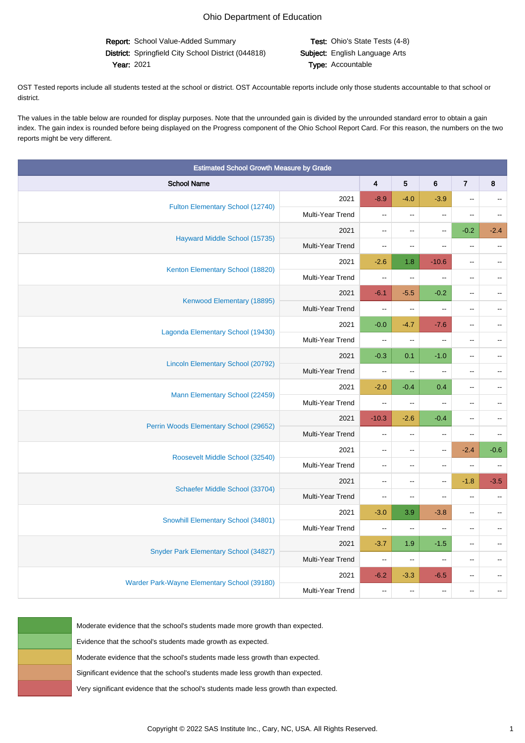Report: School Value-Added Summary Test: Ohio's State Tests (4-8) District: Springfield City School District (044818) Subject: English Language Arts Year: 2021 **Type:** Accountable

OST Tested reports include all students tested at the school or district. OST Accountable reports include only those students accountable to that school or district.

The values in the table below are rounded for display purposes. Note that the unrounded gain is divided by the unrounded standard error to obtain a gain index. The gain index is rounded before being displayed on the Progress component of the Ohio School Report Card. For this reason, the numbers on the two reports might be very different.

| <b>Estimated School Growth Measure by Grade</b> |                  |                           |                                               |                          |                          |                          |
|-------------------------------------------------|------------------|---------------------------|-----------------------------------------------|--------------------------|--------------------------|--------------------------|
| <b>School Name</b>                              |                  | $\overline{\mathbf{4}}$   | 5                                             | 6                        | $\overline{7}$           | 8                        |
| Fulton Elementary School (12740)                | 2021             | $-8.9$                    | $-4.0$                                        | $-3.9$                   | $\overline{\phantom{a}}$ |                          |
|                                                 | Multi-Year Trend | $\overline{\phantom{a}}$  | $\mathord{\hspace{1pt}\text{--}\hspace{1pt}}$ | $\overline{\phantom{a}}$ | $\overline{\phantom{a}}$ |                          |
| Hayward Middle School (15735)                   | 2021             | Ξ.                        | $\overline{\phantom{a}}$                      | ω.                       | $-0.2$                   | $-2.4$                   |
|                                                 | Multi-Year Trend | $\overline{\phantom{a}}$  | $\overline{\phantom{a}}$                      | $\overline{\phantom{a}}$ | $\overline{\phantom{a}}$ | $\mathbb{L}^2$           |
| Kenton Elementary School (18820)                | 2021             | $-2.6$                    | 1.8                                           | $-10.6$                  | $\overline{\phantom{a}}$ |                          |
|                                                 | Multi-Year Trend | $\Box$                    | $\overline{\phantom{a}}$                      | ц.                       | $\overline{a}$           | $\overline{a}$           |
| Kenwood Elementary (18895)                      | 2021             | $-6.1$                    | $-5.5$                                        | $-0.2$                   | $\overline{\phantom{a}}$ |                          |
|                                                 | Multi-Year Trend | ۰.                        | $\frac{1}{2}$                                 | --                       | $\overline{\phantom{a}}$ |                          |
| Lagonda Elementary School (19430)               | 2021             | $-0.0$                    | $-4.7$                                        | $-7.6$                   | $\overline{a}$           |                          |
|                                                 | Multi-Year Trend | $\overline{\phantom{a}}$  | $\overline{\phantom{a}}$                      | Ξ.                       | $\overline{\phantom{a}}$ |                          |
| <b>Lincoln Elementary School (20792)</b>        | 2021             | $-0.3$                    | 0.1                                           | $-1.0$                   | $\overline{\phantom{a}}$ |                          |
|                                                 | Multi-Year Trend | $\mathbb{L}^{\mathbb{L}}$ | $\overline{\phantom{a}}$                      | ц.                       | $\overline{a}$           | $\overline{a}$           |
| Mann Elementary School (22459)                  | 2021             | $-2.0$                    | $-0.4$                                        | 0.4                      | $\overline{\phantom{a}}$ |                          |
|                                                 | Multi-Year Trend | ۰.                        | $\overline{\phantom{a}}$                      | $\overline{\phantom{a}}$ | $\overline{\phantom{a}}$ |                          |
| Perrin Woods Elementary School (29652)          | 2021             | $-10.3$                   | $-2.6$                                        | $-0.4$                   | $\overline{\phantom{a}}$ |                          |
|                                                 | Multi-Year Trend | Ξ.                        | $\mathbb{L} \mathbb{L}$                       | Ξ.                       | Ξ.                       |                          |
| Roosevelt Middle School (32540)                 | 2021             | Ξ.                        | $\mathord{\hspace{1pt}\text{--}\hspace{1pt}}$ | $\overline{\phantom{a}}$ | $-2.4$                   | $-0.6$                   |
|                                                 | Multi-Year Trend | $\overline{a}$            | $\overline{\phantom{a}}$                      | --                       | $\overline{\phantom{a}}$ | $\mathbf{u}$             |
| Schaefer Middle School (33704)                  | 2021             | $\mathbf{u}$              | $\mathbf{u}$                                  | $\mathbf{u}$             | $-1.8$                   | $-3.5$                   |
|                                                 | Multi-Year Trend | $\overline{\phantom{a}}$  | $\overline{\phantom{a}}$                      | $\overline{\phantom{a}}$ | $\overline{\phantom{a}}$ | $\overline{\phantom{a}}$ |
| Snowhill Elementary School (34801)              | 2021             | $-3.0$                    | 3.9                                           | $-3.8$                   | $\overline{\phantom{a}}$ | Ξ.                       |
|                                                 | Multi-Year Trend | $\mathbb{L} \mathbb{L}$   | $\mathbb{L} \mathbb{L}$                       | $\overline{\phantom{a}}$ | $\overline{a}$           |                          |
| Snyder Park Elementary School (34827)           | 2021             | $-3.7$                    | 1.9                                           | $-1.5$                   | $\overline{\phantom{a}}$ |                          |
|                                                 | Multi-Year Trend | $\overline{\phantom{a}}$  | $\mathord{\hspace{1pt}\text{--}\hspace{1pt}}$ | $\overline{\phantom{a}}$ | $\overline{\phantom{a}}$ |                          |
| Warder Park-Wayne Elementary School (39180)     | 2021             | $-6.2$                    | $-3.3$                                        | $-6.5$                   | $\overline{\phantom{a}}$ |                          |
|                                                 | Multi-Year Trend | $\overline{\phantom{a}}$  | $\overline{\phantom{a}}$                      | $\overline{\phantom{a}}$ | $\overline{\phantom{a}}$ |                          |

Moderate evidence that the school's students made more growth than expected.

Evidence that the school's students made growth as expected.

Moderate evidence that the school's students made less growth than expected.

Significant evidence that the school's students made less growth than expected.

Very significant evidence that the school's students made less growth than expected.